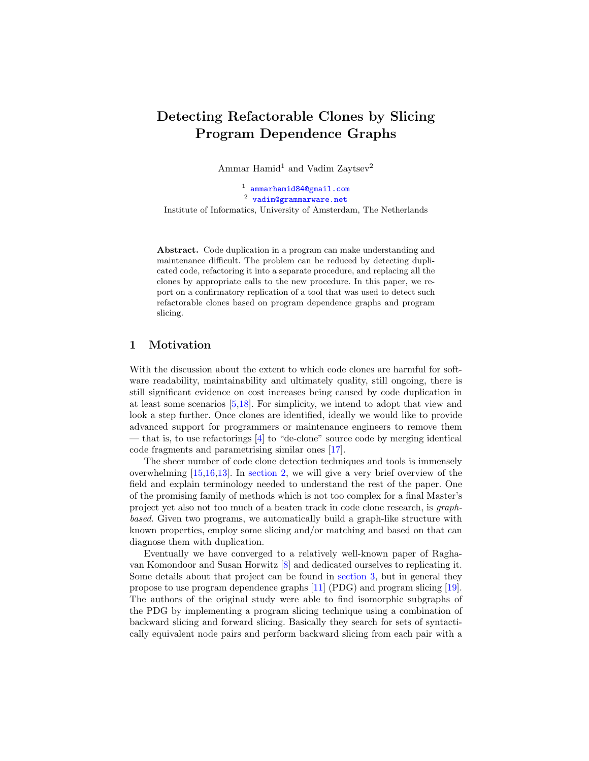# Detecting Refactorable Clones by Slicing Program Dependence Graphs

Ammar Hamid<sup>1</sup> and Vadim Zaytsev<sup>2</sup>

1 [ammarhamid84@gmail.com](mailto:ammarhamid84@gmail.com)  $^{2}$  [vadim@grammarware.net](mailto:vadim@grammarware.net) Institute of Informatics, University of Amsterdam, The Netherlands

Abstract. Code duplication in a program can make understanding and maintenance difficult. The problem can be reduced by detecting duplicated code, refactoring it into a separate procedure, and replacing all the clones by appropriate calls to the new procedure. In this paper, we report on a confirmatory replication of a tool that was used to detect such refactorable clones based on program dependence graphs and program slicing.

## 1 Motivation

With the discussion about the extent to which code clones are harmful for software readability, maintainability and ultimately quality, still ongoing, there is still significant evidence on cost increases being caused by code duplication in at least some scenarios [\[5,](#page-11-0)[18\]](#page-11-1). For simplicity, we intend to adopt that view and look a step further. Once clones are identified, ideally we would like to provide advanced support for programmers or maintenance engineers to remove them — that is, to use refactorings [\[4\]](#page-11-2) to "de-clone" source code by merging identical code fragments and parametrising similar ones [\[17\]](#page-11-3).

The sheer number of code clone detection techniques and tools is immensely overwhelming [\[15,](#page-11-4)[16,](#page-11-5)[13\]](#page-11-6). In [section 2,](#page-1-0) we will give a very brief overview of the field and explain terminology needed to understand the rest of the paper. One of the promising family of methods which is not too complex for a final Master's project yet also not too much of a beaten track in code clone research, is graphbased. Given two programs, we automatically build a graph-like structure with known properties, employ some slicing and/or matching and based on that can diagnose them with duplication.

Eventually we have converged to a relatively well-known paper of Raghavan Komondoor and Susan Horwitz [\[8\]](#page-11-7) and dedicated ourselves to replicating it. Some details about that project can be found in [section 3,](#page-4-0) but in general they propose to use program dependence graphs [\[11\]](#page-11-8) (PDG) and program slicing [\[19\]](#page-11-9). The authors of the original study were able to find isomorphic subgraphs of the PDG by implementing a program slicing technique using a combination of backward slicing and forward slicing. Basically they search for sets of syntactically equivalent node pairs and perform backward slicing from each pair with a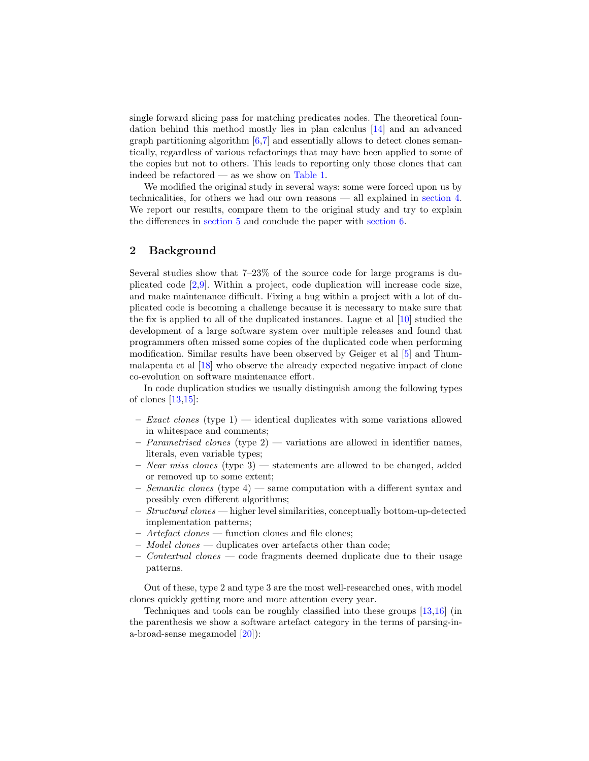single forward slicing pass for matching predicates nodes. The theoretical foundation behind this method mostly lies in plan calculus [\[14\]](#page-11-10) and an advanced graph partitioning algorithm  $[6,7]$  $[6,7]$  and essentially allows to detect clones semantically, regardless of various refactorings that may have been applied to some of the copies but not to others. This leads to reporting only those clones that can indeed be refactored — as we show on [Table 1.](#page-2-0)

We modified the original study in several ways: some were forced upon us by technicalities, for others we had our own reasons — all explained in [section 4.](#page-6-0) We report our results, compare them to the original study and try to explain the differences in [section 5](#page-8-0) and conclude the paper with [section 6.](#page-10-0)

## <span id="page-1-0"></span>2 Background

Several studies show that 7–23% of the source code for large programs is duplicated code [\[2,](#page-11-13)[9\]](#page-11-14). Within a project, code duplication will increase code size, and make maintenance difficult. Fixing a bug within a project with a lot of duplicated code is becoming a challenge because it is necessary to make sure that the fix is applied to all of the duplicated instances. Lague et al [\[10\]](#page-11-15) studied the development of a large software system over multiple releases and found that programmers often missed some copies of the duplicated code when performing modification. Similar results have been observed by Geiger et al [\[5\]](#page-11-0) and Thummalapenta et al [\[18\]](#page-11-1) who observe the already expected negative impact of clone co-evolution on software maintenance effort.

In code duplication studies we usually distinguish among the following types of clones  $[13,15]$  $[13,15]$ :

- $-$  *Exact clones* (type 1) identical duplicates with some variations allowed in whitespace and comments;
- $P\ =\$  Parametrised clones (type 2) variations are allowed in identifier names, literals, even variable types;
- Near miss clones (type 3) statements are allowed to be changed, added or removed up to some extent;
- Semantic clones (type  $4$ ) same computation with a different syntax and possibly even different algorithms;
- Structural clones higher level similarities, conceptually bottom-up-detected implementation patterns;
- Artefact clones function clones and file clones;
- Model clones duplicates over artefacts other than code;
- $\sim$  Contextual clones code fragments deemed duplicate due to their usage patterns.

Out of these, type 2 and type 3 are the most well-researched ones, with model clones quickly getting more and more attention every year.

Techniques and tools can be roughly classified into these groups [\[13,](#page-11-6)[16\]](#page-11-5) (in the parenthesis we show a software artefact category in the terms of parsing-ina-broad-sense megamodel [\[20\]](#page-11-16)):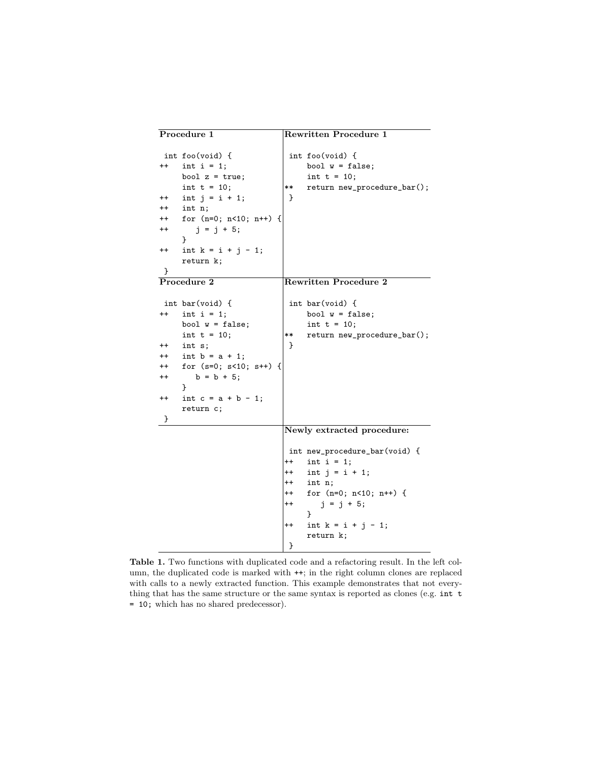| Procedure 1                                                                             |                                                                                                                                                                                                | <b>Rewritten Procedure 1</b>                                             |                                                                                                                                                                      |  |  |  |
|-----------------------------------------------------------------------------------------|------------------------------------------------------------------------------------------------------------------------------------------------------------------------------------------------|--------------------------------------------------------------------------|----------------------------------------------------------------------------------------------------------------------------------------------------------------------|--|--|--|
| $^{++}$<br>$^{++}$<br>$++$<br>$^{++}$<br>++<br>$^{\mathrm{+}}$                          | int foo(void) {<br>int $i = 1$ ;<br>bool $z = true$ ;<br>int $t = 10$ ;<br>int $j = i + 1$ ;<br>int n;<br>for $(n=0; n<10; n++)$ {<br>$j = j + 5;$<br>ł<br>int $k = i + j - 1$ ;<br>return k;  | **<br><b>}</b>                                                           | int foo(void) {<br>bool $w = false;$<br>int $t = 10$ ;<br>return new_procedure_bar();                                                                                |  |  |  |
| ł                                                                                       |                                                                                                                                                                                                |                                                                          |                                                                                                                                                                      |  |  |  |
| Procedure 2                                                                             |                                                                                                                                                                                                |                                                                          | <b>Rewritten Procedure 2</b>                                                                                                                                         |  |  |  |
| $^{++}$<br>++<br>$++$<br>$^{++}$<br>$^{\mathrm{++}}$<br>$^{\mathrm{+}}$<br>$\mathbf{r}$ | int bar(void) {<br>int $i = 1$ ;<br>bool $w = false;$<br>int $t = 10$ ;<br>int s;<br>int $b = a + 1$ ;<br>for $(s=0; s<10; s++)$ {<br>$b = b + 5$ ;<br>}<br>int $c = a + b - 1$ ;<br>return c; | **<br>}                                                                  | int bar(void) {<br>bool $w = false$ ;<br>int $t = 10$ ;<br>return new_procedure_bar();                                                                               |  |  |  |
|                                                                                         |                                                                                                                                                                                                |                                                                          | Newly extracted procedure:                                                                                                                                           |  |  |  |
|                                                                                         |                                                                                                                                                                                                | $^{\mathrm{+}}$<br>$^{++}$<br>$^{++}$<br>$++$<br>$^{++}$<br>$^{++}$<br>} | int new_procedure_bar(void) {<br>int $i = 1$ ;<br>int $j = i + 1$ ;<br>int n;<br>for $(n=0; n<10; n++)$ {<br>$j = j + 5;$<br>}<br>int $k = i + j - 1$ ;<br>return k; |  |  |  |

<span id="page-2-0"></span>Table 1. Two functions with duplicated code and a refactoring result. In the left column, the duplicated code is marked with ++; in the right column clones are replaced with calls to a newly extracted function. This example demonstrates that not everything that has the same structure or the same syntax is reported as clones (e.g. int t = 10; which has no shared predecessor).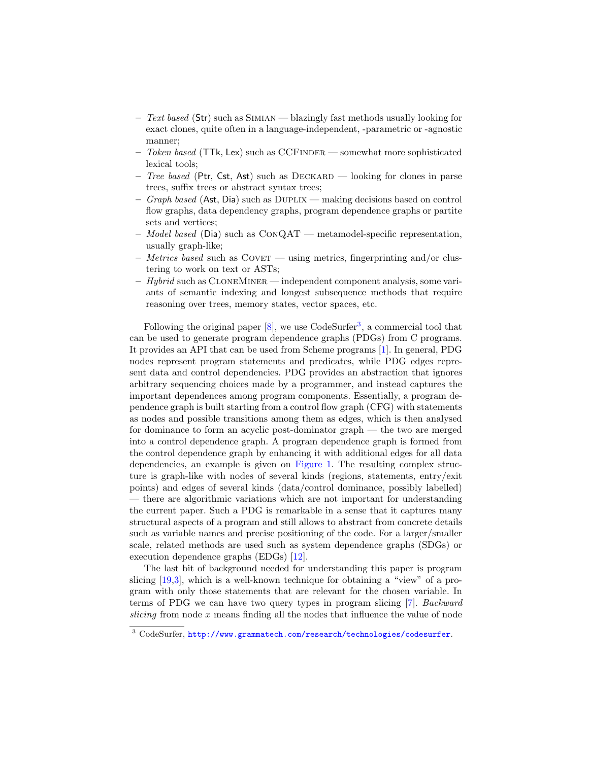- $-$  Text based (Str) such as SIMIAN blazingly fast methods usually looking for exact clones, quite often in a language-independent, -parametric or -agnostic manner;
- $-$  Token based (TTk, Lex) such as CCFINDER somewhat more sophisticated lexical tools;
- Tree based (Ptr, Cst, Ast) such as DECKARD looking for clones in parse trees, suffix trees or abstract syntax trees;
- $-$  Graph based (Ast, Dia) such as DUPLIX making decisions based on control flow graphs, data dependency graphs, program dependence graphs or partite sets and vertices;
- $-$  Model based (Dia) such as CONQAT metamodel-specific representation, usually graph-like;
- $-$  *Metrics based* such as COVET using metrics, fingerprinting and/or clustering to work on text or ASTs;
- $-$  Hybrid such as CLONEMINER independent component analysis, some variants of semantic indexing and longest subsequence methods that require reasoning over trees, memory states, vector spaces, etc.

Following the original paper  $[8]$ , we use CodeSurfer<sup>[3](#page-3-0)</sup>, a commercial tool that can be used to generate program dependence graphs (PDGs) from C programs. It provides an API that can be used from Scheme programs [\[1\]](#page-10-1). In general, PDG nodes represent program statements and predicates, while PDG edges represent data and control dependencies. PDG provides an abstraction that ignores arbitrary sequencing choices made by a programmer, and instead captures the important dependences among program components. Essentially, a program dependence graph is built starting from a control flow graph (CFG) with statements as nodes and possible transitions among them as edges, which is then analysed for dominance to form an acyclic post-dominator graph — the two are merged into a control dependence graph. A program dependence graph is formed from the control dependence graph by enhancing it with additional edges for all data dependencies, an example is given on [Figure 1.](#page-4-1) The resulting complex structure is graph-like with nodes of several kinds (regions, statements, entry/exit points) and edges of several kinds (data/control dominance, possibly labelled) — there are algorithmic variations which are not important for understanding the current paper. Such a PDG is remarkable in a sense that it captures many structural aspects of a program and still allows to abstract from concrete details such as variable names and precise positioning of the code. For a larger/smaller scale, related methods are used such as system dependence graphs (SDGs) or execution dependence graphs (EDGs) [\[12\]](#page-11-17).

The last bit of background needed for understanding this paper is program slicing [\[19](#page-11-9)[,3\]](#page-11-18), which is a well-known technique for obtaining a "view" of a program with only those statements that are relevant for the chosen variable. In terms of PDG we can have two query types in program slicing [\[7\]](#page-11-12). Backward slicing from node  $x$  means finding all the nodes that influence the value of node

<span id="page-3-0"></span><sup>3</sup> CodeSurfer, <http://www.grammatech.com/research/technologies/codesurfer>.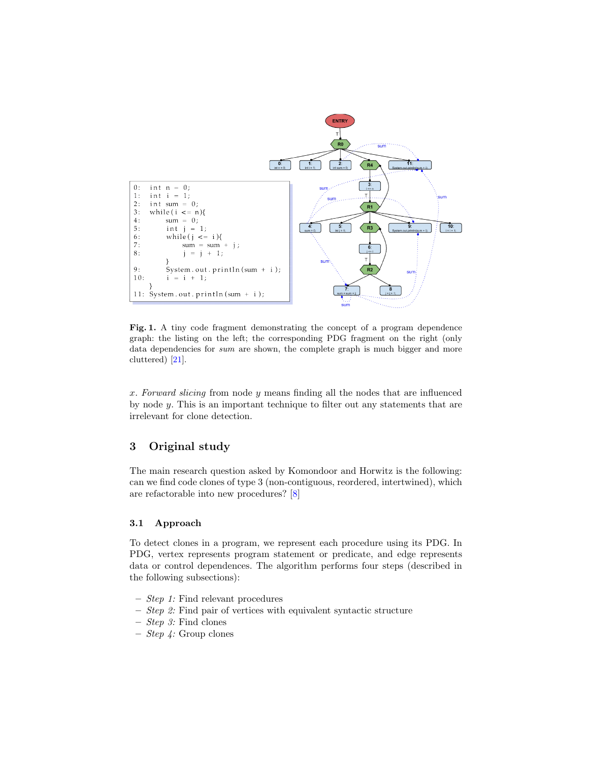

<span id="page-4-1"></span>Fig. 1. A tiny code fragment demonstrating the concept of a program dependence graph: the listing on the left; the corresponding PDG fragment on the right (only data dependencies for sum are shown, the complete graph is much bigger and more cluttered) [\[21\]](#page-11-19).

x. Forward slicing from node y means finding all the nodes that are influenced by node y. This is an important technique to filter out any statements that are irrelevant for clone detection.

# <span id="page-4-0"></span>3 Original study

The main research question asked by Komondoor and Horwitz is the following: can we find code clones of type 3 (non-contiguous, reordered, intertwined), which are refactorable into new procedures? [\[8\]](#page-11-7)

# 3.1 Approach

To detect clones in a program, we represent each procedure using its PDG. In PDG, vertex represents program statement or predicate, and edge represents data or control dependences. The algorithm performs four steps (described in the following subsections):

- Step 1: Find relevant procedures
- Step 2: Find pair of vertices with equivalent syntactic structure
- Step 3: Find clones
- $-$  *Step 4:* Group clones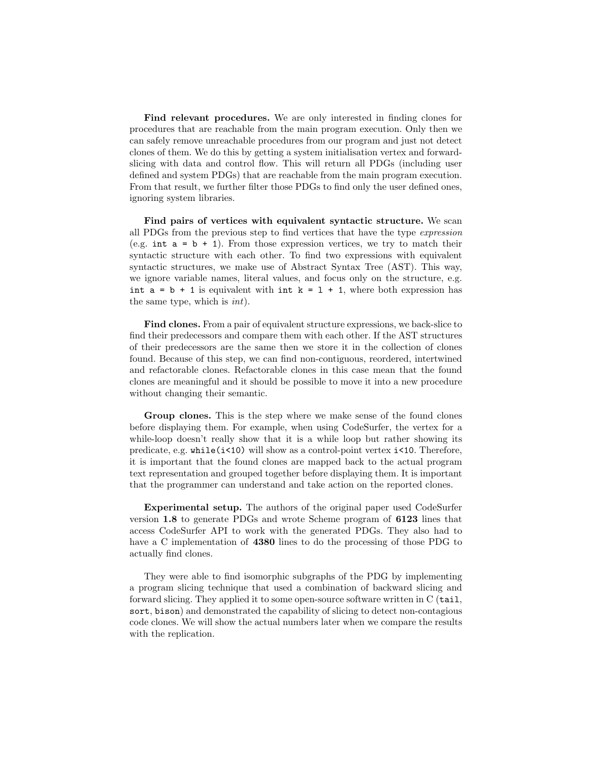Find relevant procedures. We are only interested in finding clones for procedures that are reachable from the main program execution. Only then we can safely remove unreachable procedures from our program and just not detect clones of them. We do this by getting a system initialisation vertex and forwardslicing with data and control flow. This will return all PDGs (including user defined and system PDGs) that are reachable from the main program execution. From that result, we further filter those PDGs to find only the user defined ones, ignoring system libraries.

Find pairs of vertices with equivalent syntactic structure. We scan all PDGs from the previous step to find vertices that have the type expression (e.g. int  $a = b + 1$ ). From those expression vertices, we try to match their syntactic structure with each other. To find two expressions with equivalent syntactic structures, we make use of Abstract Syntax Tree (AST). This way, we ignore variable names, literal values, and focus only on the structure, e.g. int  $a = b + 1$  is equivalent with int  $k = 1 + 1$ , where both expression has the same type, which is int).

Find clones. From a pair of equivalent structure expressions, we back-slice to find their predecessors and compare them with each other. If the AST structures of their predecessors are the same then we store it in the collection of clones found. Because of this step, we can find non-contiguous, reordered, intertwined and refactorable clones. Refactorable clones in this case mean that the found clones are meaningful and it should be possible to move it into a new procedure without changing their semantic.

Group clones. This is the step where we make sense of the found clones before displaying them. For example, when using CodeSurfer, the vertex for a while-loop doesn't really show that it is a while loop but rather showing its predicate, e.g.  $while (i \leq 10)$  will show as a control-point vertex  $i \leq 10$ . Therefore, it is important that the found clones are mapped back to the actual program text representation and grouped together before displaying them. It is important that the programmer can understand and take action on the reported clones.

Experimental setup. The authors of the original paper used CodeSurfer version 1.8 to generate PDGs and wrote Scheme program of 6123 lines that access CodeSurfer API to work with the generated PDGs. They also had to have a C implementation of **4380** lines to do the processing of those PDG to actually find clones.

They were able to find isomorphic subgraphs of the PDG by implementing a program slicing technique that used a combination of backward slicing and forward slicing. They applied it to some open-source software written in C (tail, sort, bison) and demonstrated the capability of slicing to detect non-contagious code clones. We will show the actual numbers later when we compare the results with the replication.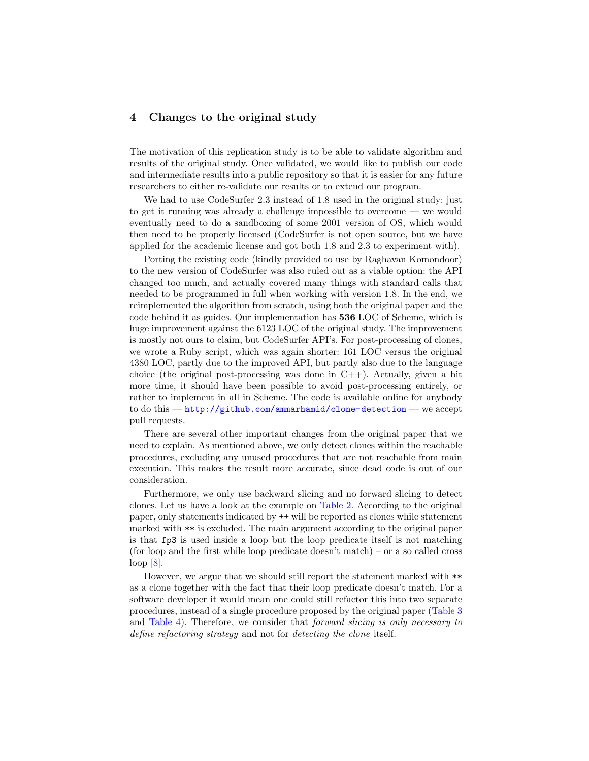## <span id="page-6-0"></span>4 Changes to the original study

The motivation of this replication study is to be able to validate algorithm and results of the original study. Once validated, we would like to publish our code and intermediate results into a public repository so that it is easier for any future researchers to either re-validate our results or to extend our program.

We had to use CodeSurfer 2.3 instead of 1.8 used in the original study: just to get it running was already a challenge impossible to overcome — we would eventually need to do a sandboxing of some 2001 version of OS, which would then need to be properly licensed (CodeSurfer is not open source, but we have applied for the academic license and got both 1.8 and 2.3 to experiment with).

Porting the existing code (kindly provided to use by Raghavan Komondoor) to the new version of CodeSurfer was also ruled out as a viable option: the API changed too much, and actually covered many things with standard calls that needed to be programmed in full when working with version 1.8. In the end, we reimplemented the algorithm from scratch, using both the original paper and the code behind it as guides. Our implementation has 536 LOC of Scheme, which is huge improvement against the 6123 LOC of the original study. The improvement is mostly not ours to claim, but CodeSurfer API's. For post-processing of clones, we wrote a Ruby script, which was again shorter: 161 LOC versus the original 4380 LOC, partly due to the improved API, but partly also due to the language choice (the original post-processing was done in  $C_{++}$ ). Actually, given a bit more time, it should have been possible to avoid post-processing entirely, or rather to implement in all in Scheme. The code is available online for anybody to do this — <http://github.com/ammarhamid/clone-detection> — we accept pull requests.

There are several other important changes from the original paper that we need to explain. As mentioned above, we only detect clones within the reachable procedures, excluding any unused procedures that are not reachable from main execution. This makes the result more accurate, since dead code is out of our consideration.

Furthermore, we only use backward slicing and no forward slicing to detect clones. Let us have a look at the example on [Table 2.](#page-7-0) According to the original paper, only statements indicated by ++ will be reported as clones while statement marked with \*\* is excluded. The main argument according to the original paper is that fp3 is used inside a loop but the loop predicate itself is not matching (for loop and the first while loop predicate doesn't match) – or a so called cross loop [\[8\]](#page-11-7).

However, we argue that we should still report the statement marked with \*\* as a clone together with the fact that their loop predicate doesn't match. For a software developer it would mean one could still refactor this into two separate procedures, instead of a single procedure proposed by the original paper [\(Table 3](#page-7-1) and [Table 4\)](#page-7-2). Therefore, we consider that forward slicing is only necessary to define refactoring strategy and not for detecting the clone itself.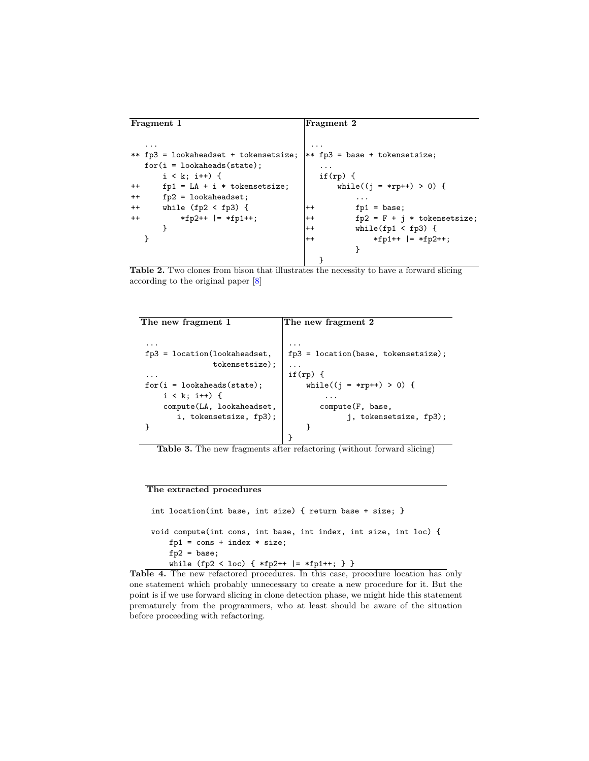```
Fragment 1 Fragment 2
  ... ...
** fp3 = lookaheadset + tokensetsize; ** fp3 = base + tokensetsize;
  for(i = 1) okaheads (state); \qquad \qquad ...
     i < k; i++) {<br>
fp1 = LA + i * tokensetsize;<br>
j+1 = LA + i * tokensetsize;<br>
j+1 = IA + i * tokensetsize;
++ fp1 = LA + i * tokensetsize;
++ fp2 = lookaheadset; ...
++ while (fp2 < fp3) { |++ fp1 = base;
++ *fp2++ |= *fp1++; ++ fp2 = F + j * tokensetsize;
     } ++ while(fp1 < fp3) {
  } |++ *fp1++ |= *fp2++;
                                    }
                               }
```
<span id="page-7-0"></span>Table 2. Two clones from bison that illustrates the necessity to have a forward slicing according to the original paper [\[8\]](#page-11-7)

| The new fragment 1             | The new fragment 2                    |  |  |  |
|--------------------------------|---------------------------------------|--|--|--|
|                                |                                       |  |  |  |
| .                              |                                       |  |  |  |
| $fp3 = location(lookakeedset,$ | $fp3 = location(base, tokensetsize);$ |  |  |  |
| tokensetsize);                 |                                       |  |  |  |
| .                              | $if(rp) { }$                          |  |  |  |
| $for(i = look aheads(state);$  | while((j = *rp++) > 0) {              |  |  |  |
| $i \lt k$ ; $i++)$ {           |                                       |  |  |  |
| compute(LA, lookaheadset,      | compute(F, base,                      |  |  |  |
| i, tokensetsize, fp3);         | j, tokensetsize, fp3);                |  |  |  |
|                                |                                       |  |  |  |
|                                |                                       |  |  |  |

<span id="page-7-1"></span>Table 3. The new fragments after refactoring (without forward slicing)

#### The extracted procedures

```
int location(int base, int size) { return base + size; }
void compute(int cons, int base, int index, int size, int loc) {
   fp1 = const + index * size;fp2 = base;while (fp2 < loc) { *fp2++ |= *fp1++; } }
```
<span id="page-7-2"></span>Table 4. The new refactored procedures. In this case, procedure location has only one statement which probably unnecessary to create a new procedure for it. But the point is if we use forward slicing in clone detection phase, we might hide this statement prematurely from the programmers, who at least should be aware of the situation before proceeding with refactoring.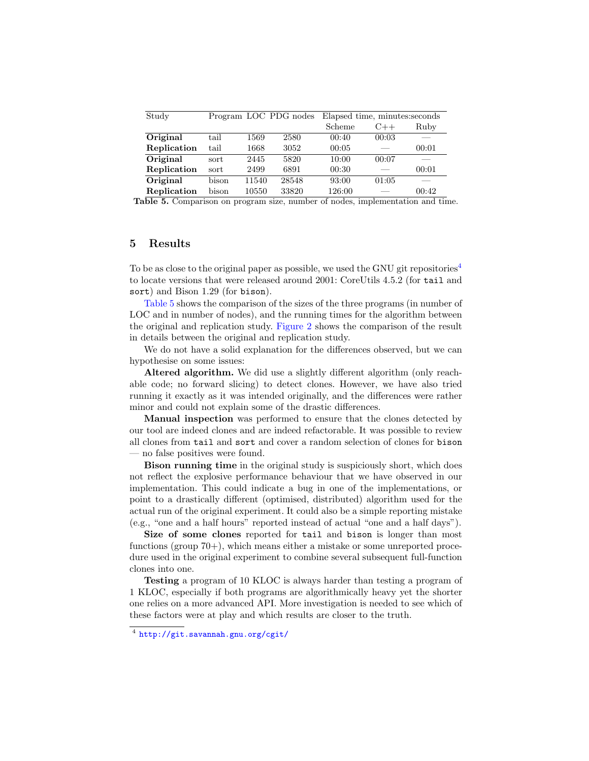| Study       |       | Program LOC PDG nodes |       | Elapsed time, minutes: seconds |       |       |
|-------------|-------|-----------------------|-------|--------------------------------|-------|-------|
|             |       |                       |       | Scheme                         | $C++$ | Ruby  |
| Original    | tail  | 1569                  | 2580  | 00:40                          | 00:03 |       |
| Replication | tail  | 1668                  | 3052  | 00:05                          |       | 00:01 |
| Original    | sort  | 2445                  | 5820  | 10:00                          | 00:07 |       |
| Replication | sort  | 2499                  | 6891  | 00:30                          |       | 00:01 |
| Original    | bison | 11540                 | 28548 | 93:00                          | 01:05 |       |
| Replication | bison | 10550                 | 33820 | 126:00                         |       | 00:42 |

<span id="page-8-2"></span>Table 5. Comparison on program size, number of nodes, implementation and time.

### <span id="page-8-0"></span>5 Results

To be as close to the original paper as possible, we used the GNU git repositories<sup>[4](#page-8-1)</sup> to locate versions that were released around 2001: CoreUtils 4.5.2 (for tail and sort) and Bison 1.29 (for bison).

[Table 5](#page-8-2) shows the comparison of the sizes of the three programs (in number of LOC and in number of nodes), and the running times for the algorithm between the original and replication study. [Figure 2](#page-9-0) shows the comparison of the result in details between the original and replication study.

We do not have a solid explanation for the differences observed, but we can hypothesise on some issues:

Altered algorithm. We did use a slightly different algorithm (only reachable code; no forward slicing) to detect clones. However, we have also tried running it exactly as it was intended originally, and the differences were rather minor and could not explain some of the drastic differences.

Manual inspection was performed to ensure that the clones detected by our tool are indeed clones and are indeed refactorable. It was possible to review all clones from tail and sort and cover a random selection of clones for bison — no false positives were found.

Bison running time in the original study is suspiciously short, which does not reflect the explosive performance behaviour that we have observed in our implementation. This could indicate a bug in one of the implementations, or point to a drastically different (optimised, distributed) algorithm used for the actual run of the original experiment. It could also be a simple reporting mistake (e.g., "one and a half hours" reported instead of actual "one and a half days").

Size of some clones reported for tail and bison is longer than most functions (group 70+), which means either a mistake or some unreported procedure used in the original experiment to combine several subsequent full-function clones into one.

Testing a program of 10 KLOC is always harder than testing a program of 1 KLOC, especially if both programs are algorithmically heavy yet the shorter one relies on a more advanced API. More investigation is needed to see which of these factors were at play and which results are closer to the truth.

<span id="page-8-1"></span><sup>4</sup> <http://git.savannah.gnu.org/cgit/>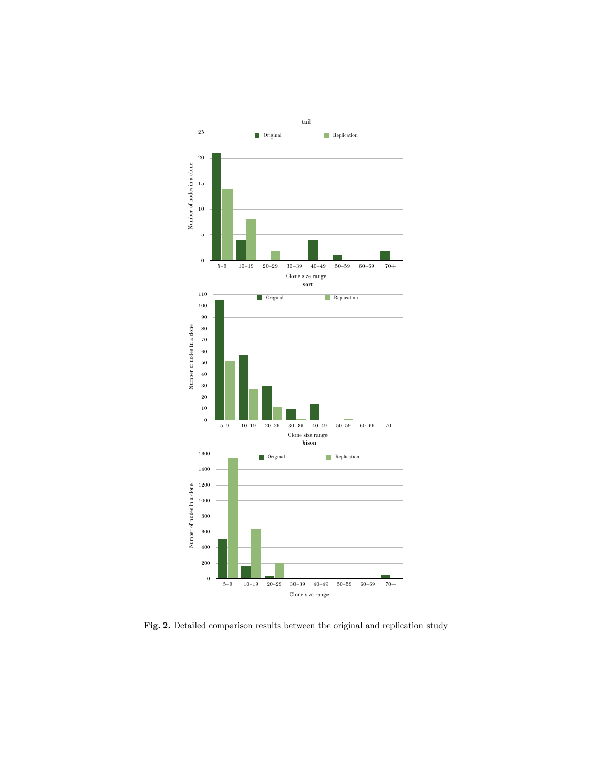

<span id="page-9-0"></span>Fig. 2. Detailed comparison results between the original and replication study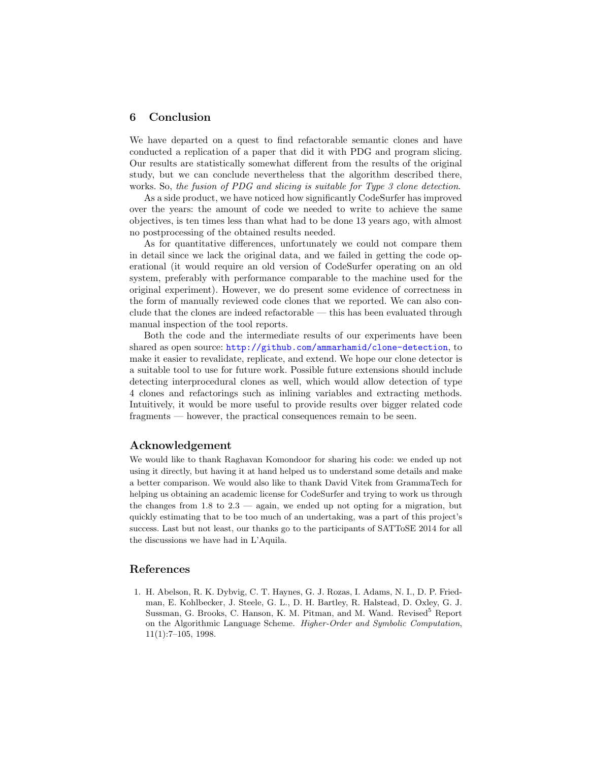# <span id="page-10-0"></span>6 Conclusion

We have departed on a quest to find refactorable semantic clones and have conducted a replication of a paper that did it with PDG and program slicing. Our results are statistically somewhat different from the results of the original study, but we can conclude nevertheless that the algorithm described there, works. So, the fusion of PDG and slicing is suitable for Type 3 clone detection.

As a side product, we have noticed how significantly CodeSurfer has improved over the years: the amount of code we needed to write to achieve the same objectives, is ten times less than what had to be done 13 years ago, with almost no postprocessing of the obtained results needed.

As for quantitative differences, unfortunately we could not compare them in detail since we lack the original data, and we failed in getting the code operational (it would require an old version of CodeSurfer operating on an old system, preferably with performance comparable to the machine used for the original experiment). However, we do present some evidence of correctness in the form of manually reviewed code clones that we reported. We can also conclude that the clones are indeed refactorable — this has been evaluated through manual inspection of the tool reports.

Both the code and the intermediate results of our experiments have been shared as open source: <http://github.com/ammarhamid/clone-detection>, to make it easier to revalidate, replicate, and extend. We hope our clone detector is a suitable tool to use for future work. Possible future extensions should include detecting interprocedural clones as well, which would allow detection of type 4 clones and refactorings such as inlining variables and extracting methods. Intuitively, it would be more useful to provide results over bigger related code fragments — however, the practical consequences remain to be seen.

### Acknowledgement

We would like to thank Raghavan Komondoor for sharing his code: we ended up not using it directly, but having it at hand helped us to understand some details and make a better comparison. We would also like to thank David Vitek from GrammaTech for helping us obtaining an academic license for CodeSurfer and trying to work us through the changes from 1.8 to 2.3 — again, we ended up not opting for a migration, but quickly estimating that to be too much of an undertaking, was a part of this project's success. Last but not least, our thanks go to the participants of SATToSE 2014 for all the discussions we have had in L'Aquila.

# References

<span id="page-10-1"></span>1. H. Abelson, R. K. Dybvig, C. T. Haynes, G. J. Rozas, I. Adams, N. I., D. P. Friedman, E. Kohlbecker, J. Steele, G. L., D. H. Bartley, R. Halstead, D. Oxley, G. J. Sussman, G. Brooks, C. Hanson, K. M. Pitman, and M. Wand. Revised<sup>5</sup> Report on the Algorithmic Language Scheme. Higher-Order and Symbolic Computation,  $11(1):7-105$ , 1998.